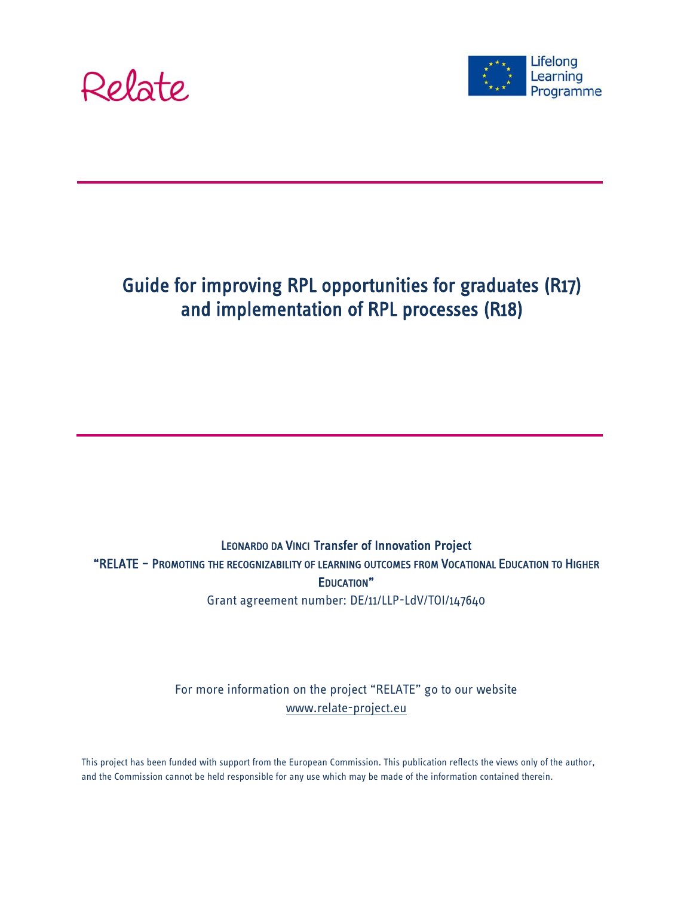



## Guide for improving RPL opportunities for graduates (R17) and implementation of RPL processes (R18)

LEONARDO DA VINCI Transfer of Innovation Project "RELATE – PROMOTING THE RECOGNIZABILITY OF LEARNING OUTCOMES FROM VOCATIONAL EDUCATION TO HIGHER EDUCATION" Grant agreement number: DE/11/LLP-LdV/TOI/147640

> For more information on the project "RELATE" go to our website [www.relate-project.eu](http://www.relate-project.eu/)

This project has been funded with support from the European Commission. This publication reflects the views only of the author, and the Commission cannot be held responsible for any use which may be made of the information contained therein.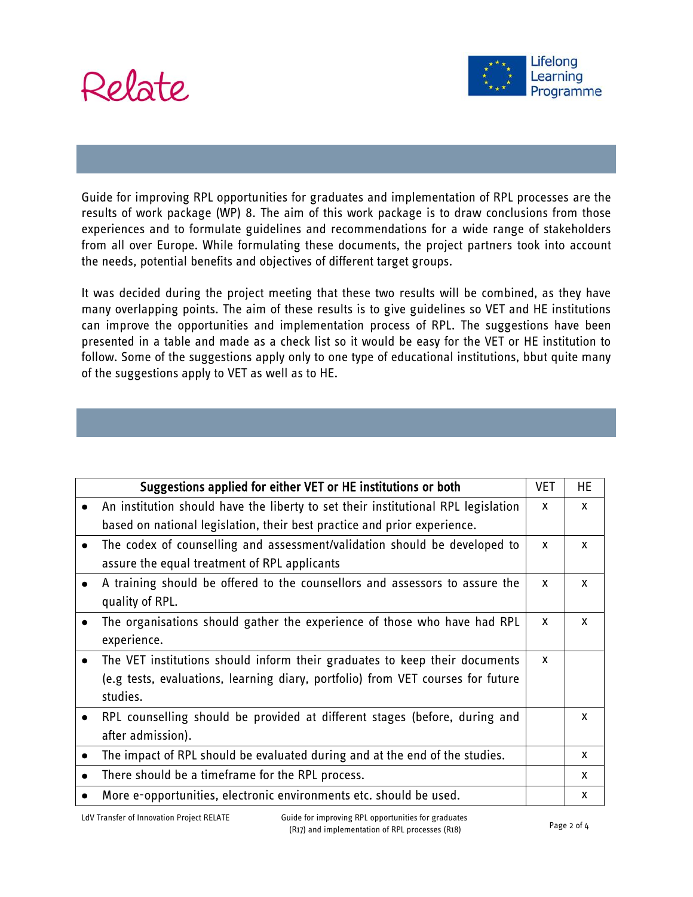



Guide for improving RPL opportunities for graduates and implementation of RPL processes are the results of work package (WP) 8. The aim of this work package is to draw conclusions from those experiences and to formulate guidelines and recommendations for a wide range of stakeholders from all over Europe. While formulating these documents, the project partners took into account the needs, potential benefits and objectives of different target groups.

It was decided during the project meeting that these two results will be combined, as they have many overlapping points. The aim of these results is to give guidelines so VET and HE institutions can improve the opportunities and implementation process of RPL. The suggestions have been presented in a table and made as a check list so it would be easy for the VET or HE institution to follow. Some of the suggestions apply only to one type of educational institutions, bbut quite many of the suggestions apply to VET as well as to HE.

| Suggestions applied for either VET or HE institutions or both                                                                                                                          |   |   |
|----------------------------------------------------------------------------------------------------------------------------------------------------------------------------------------|---|---|
| An institution should have the liberty to set their institutional RPL legislation<br>$\bullet$                                                                                         | x | X |
| based on national legislation, their best practice and prior experience.                                                                                                               |   |   |
| The codex of counselling and assessment/validation should be developed to<br>$\bullet$<br>assure the equal treatment of RPL applicants                                                 | X | X |
| A training should be offered to the counsellors and assessors to assure the<br>$\bullet$<br>quality of RPL.                                                                            | X | X |
| The organisations should gather the experience of those who have had RPL<br>$\bullet$<br>experience.                                                                                   | X | X |
| The VET institutions should inform their graduates to keep their documents<br>$\bullet$<br>(e.g tests, evaluations, learning diary, portfolio) from VET courses for future<br>studies. | x |   |
| RPL counselling should be provided at different stages (before, during and<br>$\bullet$<br>after admission).                                                                           |   | X |
| The impact of RPL should be evaluated during and at the end of the studies.<br>$\bullet$                                                                                               |   | X |
| There should be a timeframe for the RPL process.<br>$\bullet$                                                                                                                          |   | X |
| More e-opportunities, electronic environments etc. should be used.                                                                                                                     |   | X |

LdV Transfer of Innovation Project RELATE Guide for improving RPL opportunities for graduates R13 of milpromism a supportant to substitute of the processes (R18) Page 2 of 4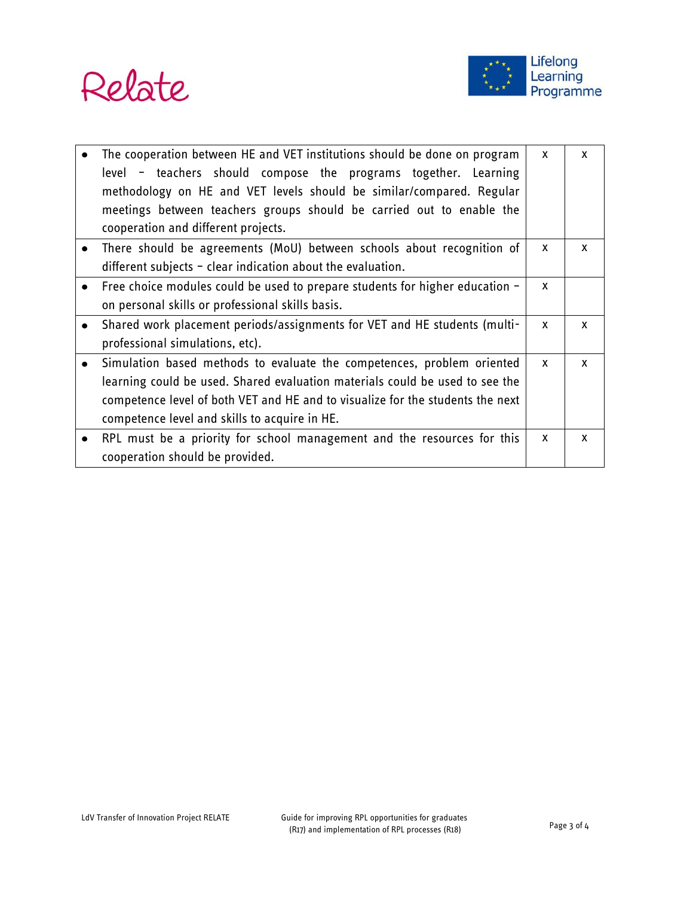



|           | The cooperation between HE and VET institutions should be done on program<br>level - teachers should compose the programs together. Learning<br>methodology on HE and VET levels should be similar/compared. Regular<br>meetings between teachers groups should be carried out to enable the<br>cooperation and different projects. | X | X |
|-----------|-------------------------------------------------------------------------------------------------------------------------------------------------------------------------------------------------------------------------------------------------------------------------------------------------------------------------------------|---|---|
| $\bullet$ | There should be agreements (MoU) between schools about recognition of<br>different subjects - clear indication about the evaluation.                                                                                                                                                                                                | X | X |
|           | Free choice modules could be used to prepare students for higher education -<br>on personal skills or professional skills basis.                                                                                                                                                                                                    | x |   |
|           | Shared work placement periods/assignments for VET and HE students (multi-<br>professional simulations, etc).                                                                                                                                                                                                                        |   | x |
| $\bullet$ | Simulation based methods to evaluate the competences, problem oriented<br>learning could be used. Shared evaluation materials could be used to see the<br>competence level of both VET and HE and to visualize for the students the next<br>competence level and skills to acquire in HE.                                           |   | X |
| $\bullet$ | RPL must be a priority for school management and the resources for this<br>cooperation should be provided.                                                                                                                                                                                                                          | X | X |